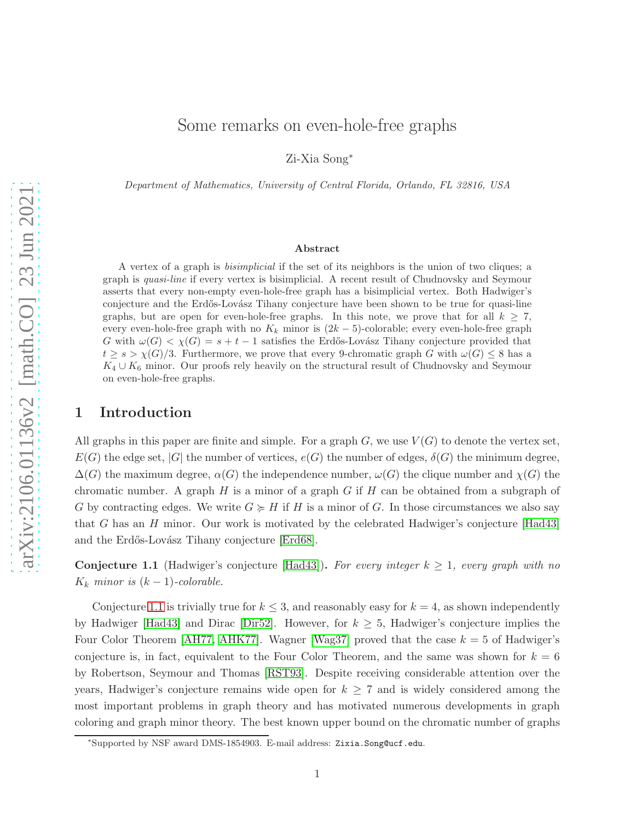# Some remarks on even-hole-free graphs

Zi-Xia Song<sup>∗</sup>

Department of Mathematics, University of Central Florida, Orlando, FL 32816, USA

#### Abstract

A vertex of a graph is bisimplicial if the set of its neighbors is the union of two cliques; a graph is quasi-line if every vertex is bisimplicial. A recent result of Chudnovsky and Seymour asserts that every non-empty even-hole-free graph has a bisimplicial vertex. Both Hadwiger's conjecture and the Erdős-Lovász Tihany conjecture have been shown to be true for quasi-line graphs, but are open for even-hole-free graphs. In this note, we prove that for all  $k \geq 7$ , every even-hole-free graph with no  $K_k$  minor is  $(2k-5)$ -colorable; every even-hole-free graph G with  $\omega(G) < \chi(G) = s + t - 1$  satisfies the Erdős-Lovász Tihany conjecture provided that  $t \geq s > \chi(G)/3$ . Furthermore, we prove that every 9-chromatic graph G with  $\omega(G) \leq 8$  has a  $K_4 \cup K_6$  minor. Our proofs rely heavily on the structural result of Chudnovsky and Seymour on even-hole-free graphs.

### 1 Introduction

All graphs in this paper are finite and simple. For a graph  $G$ , we use  $V(G)$  to denote the vertex set,  $E(G)$  the edge set,  $|G|$  the number of vertices,  $e(G)$  the number of edges,  $\delta(G)$  the minimum degree,  $\Delta(G)$  the maximum degree,  $\alpha(G)$  the independence number,  $\omega(G)$  the clique number and  $\chi(G)$  the chromatic number. A graph  $H$  is a minor of a graph  $G$  if  $H$  can be obtained from a subgraph of G by contracting edges. We write  $G \succcurlyeq H$  if H is a minor of G. In those circumstances we also say that G has an H minor. Our work is motivated by the celebrated Hadwiger's conjecture  $[Had43]$ and the Erdős-Lovász Tihany conjecture [\[Erd68\]](#page-6-1).

<span id="page-0-0"></span>**Conjecture 1.1** (Hadwiger's conjecture [\[Had43\]](#page-6-0)). For every integer  $k \geq 1$ , every graph with no  $K_k$  minor is  $(k-1)$ -colorable.

Conjecture [1.1](#page-0-0) is trivially true for  $k \leq 3$ , and reasonably easy for  $k = 4$ , as shown independently by Hadwiger [\[Had43\]](#page-6-0) and Dirac [\[Dir52\]](#page-5-0). However, for  $k \geq 5$ , Hadwiger's conjecture implies the Four Color Theorem [\[AH77,](#page-5-1) [AHK77\]](#page-5-2). Wagner [\[Wag37\]](#page-7-0) proved that the case  $k = 5$  of Hadwiger's conjecture is, in fact, equivalent to the Four Color Theorem, and the same was shown for  $k = 6$ by Robertson, Seymour and Thomas [\[RST93\]](#page-6-2). Despite receiving considerable attention over the years, Hadwiger's conjecture remains wide open for  $k \geq 7$  and is widely considered among the most important problems in graph theory and has motivated numerous developments in graph coloring and graph minor theory. The best known upper bound on the chromatic number of graphs

<sup>∗</sup> Supported by NSF award DMS-1854903. E-mail address: Zixia.Song@ucf.edu.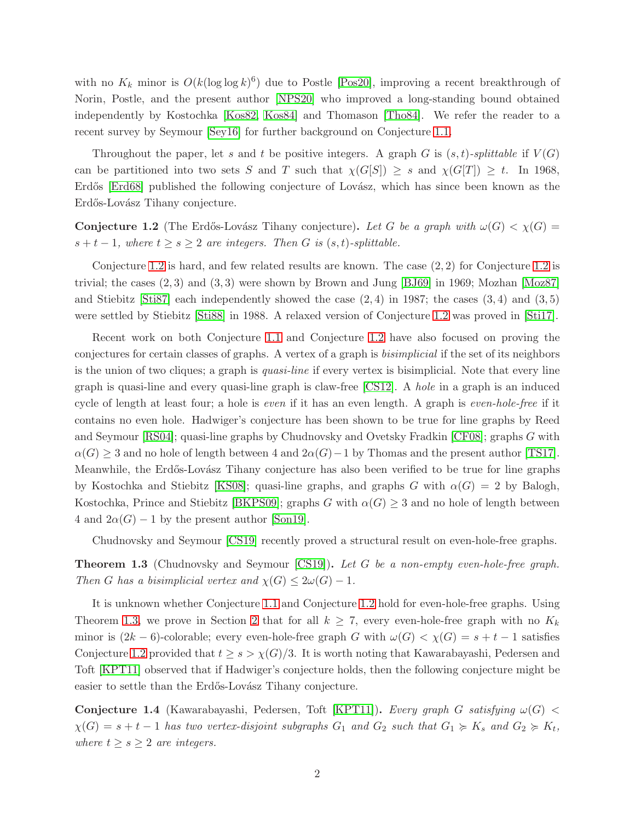with no  $K_k$  minor is  $O(k(\log \log k)^6)$  due to Postle [\[Pos20\]](#page-6-3), improving a recent breakthrough of Norin, Postle, and the present author [\[NPS20\]](#page-6-4) who improved a long-standing bound obtained independently by Kostochka [\[Kos82,](#page-6-5) [Kos84\]](#page-6-6) and Thomason [\[Tho84\]](#page-7-1). We refer the reader to a recent survey by Seymour [\[Sey16\]](#page-6-7) for further background on Conjecture [1.1.](#page-0-0)

Throughout the paper, let s and t be positive integers. A graph G is  $(s, t)$ -splittable if  $V(G)$ can be partitioned into two sets S and T such that  $\chi(G[S]) \geq s$  and  $\chi(G[T]) \geq t$ . In 1968, Erdős [Erdő8] published the following conjecture of Lovász, which has since been known as the Erdős-Lovász Tihany conjecture.

<span id="page-1-0"></span>**Conjecture 1.2** (The Erdős-Lovász Tihany conjecture). Let G be a graph with  $\omega(G) < \chi(G)$  =  $s + t - 1$ , where  $t \geq s \geq 2$  are integers. Then G is  $(s, t)$ -splittable.

Conjecture [1.2](#page-1-0) is hard, and few related results are known. The case (2, 2) for Conjecture [1.2](#page-1-0) is trivial; the cases  $(2, 3)$  and  $(3, 3)$  were shown by Brown and Jung [\[BJ69\]](#page-5-3) in 1969; Mozhan [\[Moz87\]](#page-6-8) and Stiebitz  $\left[Sti87\right]$  each independently showed the case  $(2, 4)$  in 1987; the cases  $(3, 4)$  and  $(3, 5)$ were settled by Stiebitz [\[Sti88\]](#page-7-2) in 1988. A relaxed version of Conjecture [1.2](#page-1-0) was proved in [\[Sti17\]](#page-7-3).

Recent work on both Conjecture [1.1](#page-0-0) and Conjecture [1.2](#page-1-0) have also focused on proving the conjectures for certain classes of graphs. A vertex of a graph is bisimplicial if the set of its neighbors is the union of two cliques; a graph is *quasi-line* if every vertex is bisimplicial. Note that every line graph is quasi-line and every quasi-line graph is claw-free [\[CS12\]](#page-5-4). A hole in a graph is an induced cycle of length at least four; a hole is even if it has an even length. A graph is even-hole-free if it contains no even hole. Hadwiger's conjecture has been shown to be true for line graphs by Reed and Seymour [\[RS04\]](#page-6-10); quasi-line graphs by Chudnovsky and Ovetsky Fradkin [\[CF08\]](#page-5-5); graphs G with  $\alpha(G) \geq 3$  and no hole of length between 4 and  $2\alpha(G) - 1$  by Thomas and the present author [\[TS17\]](#page-7-4). Meanwhile, the Erdős-Lovász Tihany conjecture has also been verified to be true for line graphs by Kostochka and Stiebitz [\[KS08\]](#page-6-11); quasi-line graphs, and graphs G with  $\alpha(G) = 2$  by Balogh, Kostochka, Prince and Stiebitz [\[BKPS09\]](#page-5-6); graphs G with  $\alpha(G) \geq 3$  and no hole of length between 4 and  $2\alpha(G) - 1$  by the present author [\[Son19\]](#page-6-12).

<span id="page-1-1"></span>Chudnovsky and Seymour [\[CS19\]](#page-5-7) recently proved a structural result on even-hole-free graphs.

**Theorem 1.3** (Chudnovsky and Seymour [\[CS19\]](#page-5-7)). Let G be a non-empty even-hole-free graph. Then G has a bisimplicial vertex and  $\chi(G) \leq 2\omega(G) - 1$ .

It is unknown whether Conjecture [1.1](#page-0-0) and Conjecture [1.2](#page-1-0) hold for even-hole-free graphs. Using Theorem [1.3,](#page-1-1) we prove in Section [2](#page-2-0) that for all  $k \geq 7$ , every even-hole-free graph with no  $K_k$ minor is  $(2k-6)$ -colorable; every even-hole-free graph G with  $\omega(G) < \chi(G) = s + t - 1$  satisfies Conjecture [1.2](#page-1-0) provided that  $t \geq s > \chi(G)/3$ . It is worth noting that Kawarabayashi, Pedersen and Toft [\[KPT11\]](#page-6-13) observed that if Hadwiger's conjecture holds, then the following conjecture might be easier to settle than the Erdős-Lovász Tihany conjecture.

<span id="page-1-2"></span>Conjecture 1.4 (Kawarabayashi, Pedersen, Toft [\[KPT11\]](#page-6-13)). Every graph G satisfying  $\omega(G)$  <  $\chi(G) = s + t - 1$  has two vertex-disjoint subgraphs  $G_1$  and  $G_2$  such that  $G_1 \succcurlyeq K_s$  and  $G_2 \succcurlyeq K_t$ , where  $t \geq s \geq 2$  are integers.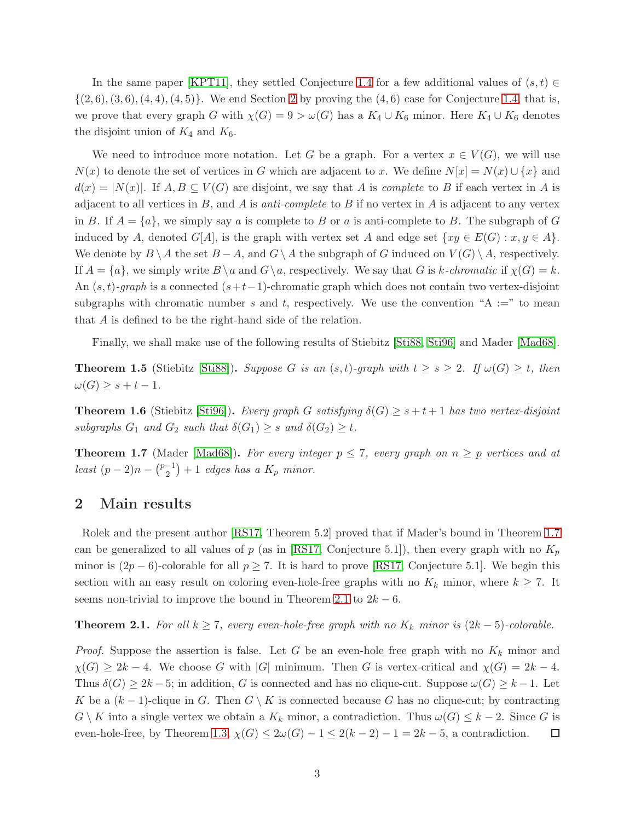In the same paper [\[KPT11\]](#page-6-13), they settled Conjecture [1.4](#page-1-2) for a few additional values of  $(s, t) \in$  $\{(2,6), (3,6), (4,4), (4,5)\}.$  We end Section [2](#page-2-0) by proving the  $(4,6)$  case for Conjecture [1.4,](#page-1-2) that is, we prove that every graph G with  $\chi(G) = 9 > \omega(G)$  has a  $K_4 \cup K_6$  minor. Here  $K_4 \cup K_6$  denotes the disjoint union of  $K_4$  and  $K_6$ .

We need to introduce more notation. Let G be a graph. For a vertex  $x \in V(G)$ , we will use  $N(x)$  to denote the set of vertices in G which are adjacent to x. We define  $N[x] = N(x) \cup \{x\}$  and  $d(x) = |N(x)|$ . If  $A, B \subseteq V(G)$  are disjoint, we say that A is *complete* to B if each vertex in A is adjacent to all vertices in  $B$ , and  $A$  is anti-complete to  $B$  if no vertex in  $A$  is adjacent to any vertex in B. If  $A = \{a\}$ , we simply say a is complete to B or a is anti-complete to B. The subgraph of G induced by A, denoted  $G[A]$ , is the graph with vertex set A and edge set  $\{xy \in E(G) : x, y \in A\}$ . We denote by  $B \setminus A$  the set  $B - A$ , and  $G \setminus A$  the subgraph of G induced on  $V(G) \setminus A$ , respectively. If  $A = \{a\}$ , we simply write  $B \setminus a$  and  $G \setminus a$ , respectively. We say that G is k-chromatic if  $\chi(G) = k$ . An  $(s, t)$ -graph is a connected  $(s+t-1)$ -chromatic graph which does not contain two vertex-disjoint subgraphs with chromatic number s and t, respectively. We use the convention "A :=" to mean that A is defined to be the right-hand side of the relation.

<span id="page-2-3"></span>Finally, we shall make use of the following results of Stiebitz [\[Sti88,](#page-7-2) [Sti96\]](#page-7-5) and Mader [\[Mad68\]](#page-6-14).

**Theorem 1.5** (Stiebitz [\[Sti88\]](#page-7-2)). Suppose G is an  $(s,t)$ -graph with  $t \geq s \geq 2$ . If  $\omega(G) \geq t$ , then  $\omega(G) \geq s+t-1.$ 

<span id="page-2-4"></span>**Theorem 1.6** (Stiebitz [\[Sti96\]](#page-7-5)). Every graph G satisfying  $\delta(G) \geq s + t + 1$  has two vertex-disjoint subgraphs  $G_1$  and  $G_2$  such that  $\delta(G_1) \geq s$  and  $\delta(G_2) \geq t$ .

<span id="page-2-1"></span>**Theorem 1.7** (Mader [\[Mad68\]](#page-6-14)). For every integer  $p \le 7$ , every graph on  $n \ge p$  vertices and at least  $(p-2)n - {p-1 \choose 2} + 1$  edges has a  $K_p$  minor.

#### <span id="page-2-0"></span>2 Main results

Rolek and the present author [\[RS17,](#page-6-15) Theorem 5.2] proved that if Mader's bound in Theorem [1.7](#page-2-1) can be generalized to all values of p (as in [\[RS17,](#page-6-15) Conjecture 5.1]), then every graph with no  $K_p$ minor is  $(2p-6)$ -colorable for all  $p \ge 7$ . It is hard to prove [\[RS17,](#page-6-15) Conjecture 5.1]. We begin this section with an easy result on coloring even-hole-free graphs with no  $K_k$  minor, where  $k \geq 7$ . It seems non-trivial to improve the bound in Theorem [2.1](#page-2-2) to  $2k - 6$ .

<span id="page-2-2"></span>**Theorem 2.1.** For all  $k \geq 7$ , every even-hole-free graph with no  $K_k$  minor is  $(2k-5)$ -colorable.

*Proof.* Suppose the assertion is false. Let G be an even-hole free graph with no  $K_k$  minor and  $\chi(G) \geq 2k - 4$ . We choose G with |G| minimum. Then G is vertex-critical and  $\chi(G) = 2k - 4$ . Thus  $\delta(G) \geq 2k-5$ ; in addition, G is connected and has no clique-cut. Suppose  $\omega(G) \geq k-1$ . Let K be a  $(k-1)$ -clique in G. Then  $G \setminus K$  is connected because G has no clique-cut; by contracting  $G \setminus K$  into a single vertex we obtain a  $K_k$  minor, a contradiction. Thus  $\omega(G) \leq k-2$ . Since G is even-hole-free, by Theorem [1.3,](#page-1-1)  $\chi(G) \leq 2\omega(G) - 1 \leq 2(k-2) - 1 = 2k - 5$ , a contradiction.  $\Box$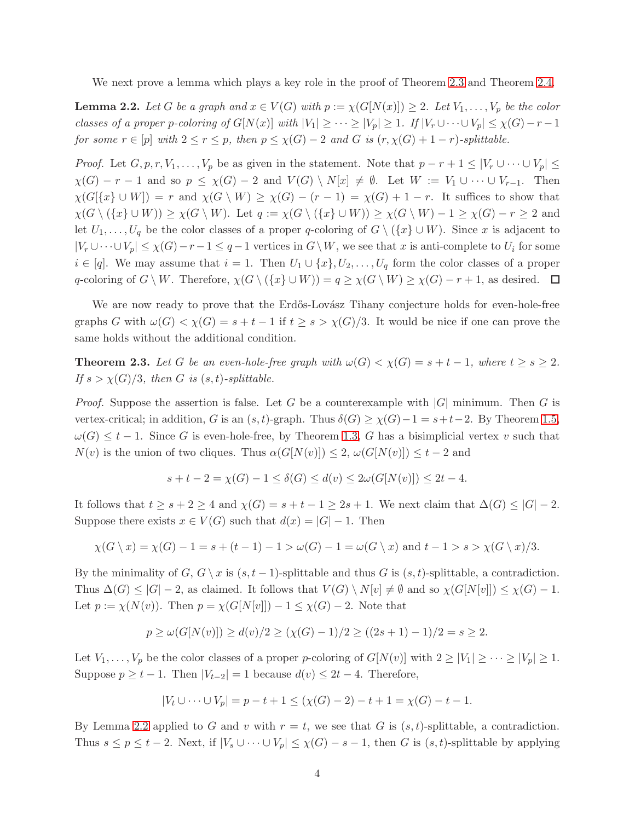<span id="page-3-1"></span>We next prove a lemma which plays a key role in the proof of Theorem [2.3](#page-3-0) and Theorem [2.4.](#page-4-0)

**Lemma 2.2.** Let G be a graph and  $x \in V(G)$  with  $p := \chi(G[N(x)]) \geq 2$ . Let  $V_1, \ldots, V_p$  be the color classes of a proper p-coloring of  $G[N(x)]$  with  $|V_1| \geq \cdots \geq |V_p| \geq 1$ . If  $|V_r \cup \cdots \cup V_p| \leq \chi(G)-r-1$ for some  $r \in [p]$  with  $2 \le r \le p$ , then  $p \le \chi(G) - 2$  and G is  $(r, \chi(G) + 1 - r)$ -splittable.

*Proof.* Let  $G, p, r, V_1, \ldots, V_p$  be as given in the statement. Note that  $p - r + 1 \leq |V_r \cup \cdots \cup V_p| \leq$  $\chi(G) - r - 1$  and so  $p \leq \chi(G) - 2$  and  $V(G) \setminus N[x] \neq \emptyset$ . Let  $W := V_1 \cup \cdots \cup V_{r-1}$ . Then  $\chi(G[\{x\} \cup W]) = r$  and  $\chi(G \setminus W) \geq \chi(G) - (r-1) = \chi(G) + 1 - r$ . It suffices to show that  $\chi(G \setminus (\{x\} \cup W)) \geq \chi(G \setminus W)$ . Let  $q := \chi(G \setminus (\{x\} \cup W)) \geq \chi(G \setminus W) - 1 \geq \chi(G) - r \geq 2$  and let  $U_1, \ldots, U_q$  be the color classes of a proper q-coloring of  $G \setminus (\{x\} \cup W)$ . Since x is adjacent to  $|V_r \cup \cdots \cup V_p| \leq \chi(G)-r-1 \leq q-1$  vertices in  $G \setminus W$ , we see that x is anti-complete to  $U_i$  for some  $i \in [q]$ . We may assume that  $i = 1$ . Then  $U_1 \cup \{x\}, U_2, \ldots, U_q$  form the color classes of a proper q-coloring of  $G \setminus W$ . Therefore,  $\chi(G \setminus (\{x\} \cup W)) = q \geq \chi(G \setminus W) \geq \chi(G) - r + 1$ , as desired.  $\Box$ 

<span id="page-3-0"></span>We are now ready to prove that the Erdős-Lovász Tihany conjecture holds for even-hole-free graphs G with  $\omega(G) < \chi(G) = s + t - 1$  if  $t \ge s > \chi(G)/3$ . It would be nice if one can prove the same holds without the additional condition.

**Theorem 2.3.** Let G be an even-hole-free graph with  $\omega(G) < \chi(G) = s + t - 1$ , where  $t \geq s \geq 2$ . If  $s > \chi(G)/3$ , then G is  $(s, t)$ -splittable.

*Proof.* Suppose the assertion is false. Let G be a counterexample with  $|G|$  minimum. Then G is vertex-critical; in addition, G is an  $(s, t)$ -graph. Thus  $\delta(G) \geq \chi(G) - 1 = s + t - 2$ . By Theorem [1.5,](#page-2-3)  $\omega(G) \leq t-1$ . Since G is even-hole-free, by Theorem [1.3,](#page-1-1) G has a bisimplicial vertex v such that  $N(v)$  is the union of two cliques. Thus  $\alpha(G[N(v)]) \leq 2$ ,  $\omega(G[N(v)]) \leq t-2$  and

$$
s + t - 2 = \chi(G) - 1 \le \delta(G) \le d(v) \le 2\omega(G[N(v)]) \le 2t - 4.
$$

It follows that  $t \geq s + 2 \geq 4$  and  $\chi(G) = s + t - 1 \geq 2s + 1$ . We next claim that  $\Delta(G) \leq |G| - 2$ . Suppose there exists  $x \in V(G)$  such that  $d(x) = |G| - 1$ . Then

$$
\chi(G \setminus x) = \chi(G) - 1 = s + (t - 1) - 1 > \omega(G) - 1 = \omega(G \setminus x) \text{ and } t - 1 > s > \chi(G \setminus x)/3.
$$

By the minimality of  $G, G \setminus x$  is  $(s, t - 1)$ -splittable and thus G is  $(s, t)$ -splittable, a contradiction. Thus  $\Delta(G) \leq |G| - 2$ , as claimed. It follows that  $V(G) \setminus N[v] \neq \emptyset$  and so  $\chi(G[N[v]]) \leq \chi(G) - 1$ . Let  $p := \chi(N(v))$ . Then  $p = \chi(G[N[v]]) - 1 \leq \chi(G) - 2$ . Note that

$$
p \ge \omega(G[N(v)]) \ge d(v)/2 \ge (\chi(G)-1)/2 \ge ((2s+1)-1)/2 = s \ge 2.
$$

Let  $V_1, \ldots, V_p$  be the color classes of a proper p-coloring of  $G[N(v)]$  with  $2 \ge |V_1| \ge \cdots \ge |V_p| \ge 1$ . Suppose  $p \geq t - 1$ . Then  $|V_{t-2}| = 1$  because  $d(v) \leq 2t - 4$ . Therefore,

$$
|V_t \cup \dots \cup V_p| = p - t + 1 \le (\chi(G) - 2) - t + 1 = \chi(G) - t - 1.
$$

By Lemma [2.2](#page-3-1) applied to G and v with  $r = t$ , we see that G is  $(s, t)$ -splittable, a contradiction. Thus  $s \le p \le t-2$ . Next, if  $|V_s \cup \cdots \cup V_p| \le \chi(G) - s - 1$ , then G is  $(s, t)$ -splittable by applying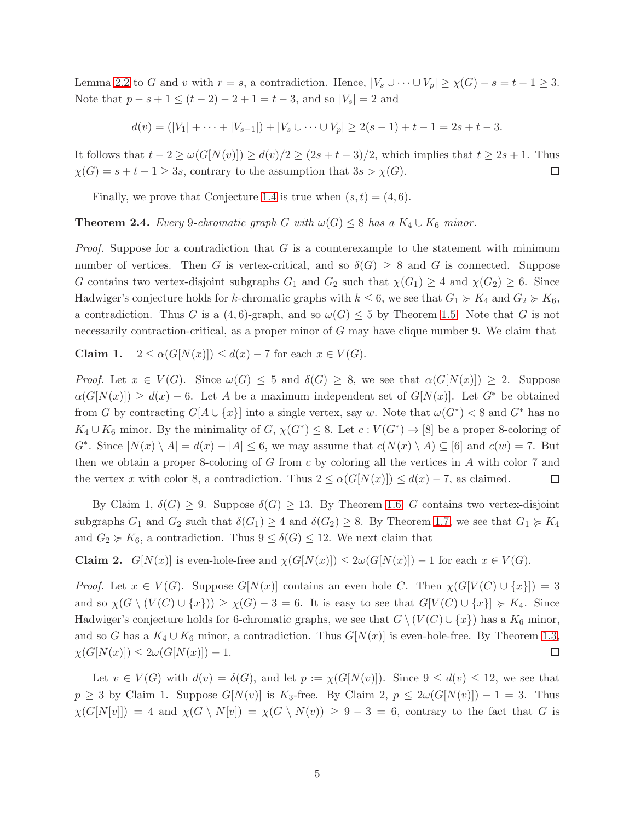Lemma [2.2](#page-3-1) to G and v with  $r = s$ , a contradiction. Hence,  $|V_s \cup \cdots \cup V_p| \geq \chi(G) - s = t - 1 \geq 3$ . Note that  $p - s + 1 \le (t - 2) - 2 + 1 = t - 3$ , and so  $|V_s| = 2$  and

$$
d(v) = (|V_1| + \cdots + |V_{s-1}|) + |V_s \cup \cdots \cup V_p| \ge 2(s-1) + t - 1 = 2s + t - 3.
$$

It follows that  $t - 2 \ge \omega(G[N(v)]) \ge d(v)/2 \ge (2s + t - 3)/2$ , which implies that  $t \ge 2s + 1$ . Thus  $\chi(G) = s + t - 1 \geq 3s$ , contrary to the assumption that  $3s > \chi(G)$ .  $\Box$ 

<span id="page-4-0"></span>Finally, we prove that Conjecture [1.4](#page-1-2) is true when  $(s, t) = (4, 6)$ .

**Theorem 2.4.** Every 9-chromatic graph G with  $\omega(G) \leq 8$  has a  $K_4 \cup K_6$  minor.

*Proof.* Suppose for a contradiction that  $G$  is a counterexample to the statement with minimum number of vertices. Then G is vertex-critical, and so  $\delta(G) \geq 8$  and G is connected. Suppose G contains two vertex-disjoint subgraphs  $G_1$  and  $G_2$  such that  $\chi(G_1) \geq 4$  and  $\chi(G_2) \geq 6$ . Since Hadwiger's conjecture holds for k-chromatic graphs with  $k \leq 6$ , we see that  $G_1 \geq K_4$  and  $G_2 \geq K_6$ , a contradiction. Thus G is a  $(4, 6)$ -graph, and so  $\omega(G) \leq 5$  by Theorem [1.5.](#page-2-3) Note that G is not necessarily contraction-critical, as a proper minor of G may have clique number 9. We claim that

Claim 1.  $2 \leq \alpha(G[N(x)]) \leq d(x) - 7$  for each  $x \in V(G)$ .

*Proof.* Let  $x \in V(G)$ . Since  $\omega(G) \leq 5$  and  $\delta(G) \geq 8$ , we see that  $\alpha(G[N(x)]) \geq 2$ . Suppose  $\alpha(G[N(x)]) \geq d(x) - 6$ . Let A be a maximum independent set of  $G[N(x)]$ . Let  $G^*$  be obtained from G by contracting  $G[A \cup \{x\}]$  into a single vertex, say w. Note that  $\omega(G^*) < 8$  and  $G^*$  has no  $K_4 \cup K_6$  minor. By the minimality of  $G, \chi(G^*) \leq 8$ . Let  $c: V(G^*) \to [8]$  be a proper 8-coloring of  $G^*$ . Since  $|N(x) \setminus A| = d(x) - |A| \leq 6$ , we may assume that  $c(N(x) \setminus A) \subseteq [6]$  and  $c(w) = 7$ . But then we obtain a proper 8-coloring of  $G$  from  $c$  by coloring all the vertices in  $A$  with color  $7$  and the vertex x with color 8, a contradiction. Thus  $2 \leq \alpha(G[N(x)]) \leq d(x) - 7$ , as claimed.  $\Box$ 

By Claim 1,  $\delta(G) \geq 9$ . Suppose  $\delta(G) \geq 13$ . By Theorem [1.6,](#page-2-4) G contains two vertex-disjoint subgraphs  $G_1$  and  $G_2$  such that  $\delta(G_1) \geq 4$  and  $\delta(G_2) \geq 8$ . By Theorem [1.7,](#page-2-1) we see that  $G_1 \succcurlyeq K_4$ and  $G_2 \succcurlyeq K_6$ , a contradiction. Thus  $9 \leq \delta(G) \leq 12$ . We next claim that

**Claim 2.**  $G[N(x)]$  is even-hole-free and  $\chi(G[N(x)]) \leq 2\omega(G[N(x)]) - 1$  for each  $x \in V(G)$ .

*Proof.* Let  $x \in V(G)$ . Suppose  $G[N(x)]$  contains an even hole C. Then  $\chi(G[V(C) \cup \{x\}]) = 3$ and so  $\chi(G \setminus (V(C) \cup \{x\})) \geq \chi(G) - 3 = 6$ . It is easy to see that  $G[V(C) \cup \{x\}] \geq K_4$ . Since Hadwiger's conjecture holds for 6-chromatic graphs, we see that  $G \setminus (V(C) \cup \{x\})$  has a  $K_6$  minor, and so G has a  $K_4 \cup K_6$  minor, a contradiction. Thus  $G[N(x)]$  is even-hole-free. By Theorem [1.3,](#page-1-1)  $\chi(G[N(x)]) \leq 2\omega(G[N(x)]) - 1.$  $\Box$ 

Let  $v \in V(G)$  with  $d(v) = \delta(G)$ , and let  $p := \chi(G[N(v)])$ . Since  $9 \leq d(v) \leq 12$ , we see that  $p \geq 3$  by Claim 1. Suppose  $G[N(v)]$  is  $K_3$ -free. By Claim 2,  $p \leq 2\omega(G[N(v)]) - 1 = 3$ . Thus  $\chi(G[N[v]]) = 4$  and  $\chi(G \setminus N[v]) = \chi(G \setminus N(v)) \ge 9-3 = 6$ , contrary to the fact that G is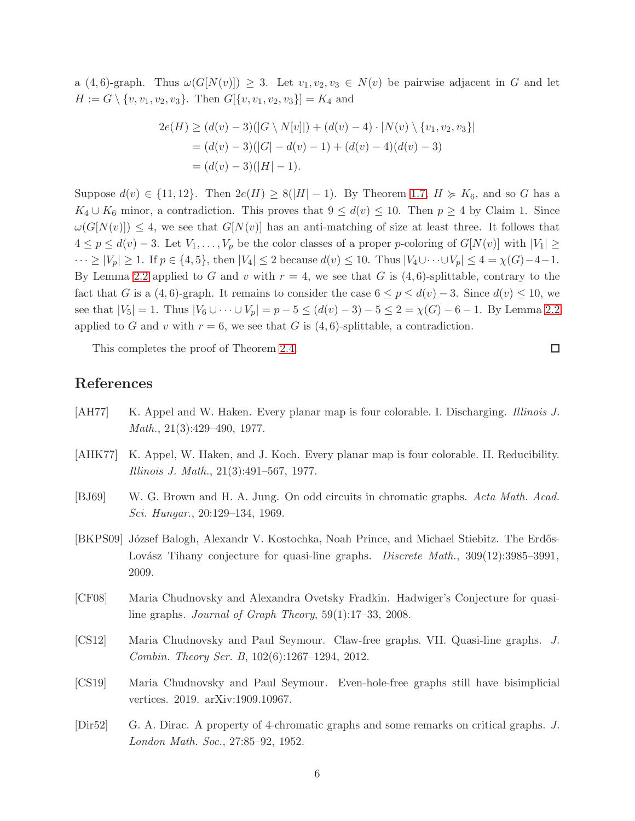a  $(4, 6)$ -graph. Thus  $\omega(G[N(v)]) \geq 3$ . Let  $v_1, v_2, v_3 \in N(v)$  be pairwise adjacent in G and let  $H := G \setminus \{v, v_1, v_2, v_3\}.$  Then  $G[\{v, v_1, v_2, v_3\}] = K_4$  and

$$
2e(H) \ge (d(v) - 3)(|G \setminus N[v]|) + (d(v) - 4) \cdot |N(v) \setminus \{v_1, v_2, v_3\}|
$$
  
=  $(d(v) - 3)(|G| - d(v) - 1) + (d(v) - 4)(d(v) - 3)$   
=  $(d(v) - 3)(|H| - 1)$ .

Suppose  $d(v) \in \{11, 12\}$ . Then  $2e(H) \geq 8(|H|-1)$ . By Theorem [1.7,](#page-2-1)  $H \geq K_6$ , and so G has a  $K_4 \cup K_6$  minor, a contradiction. This proves that  $9 \leq d(v) \leq 10$ . Then  $p \geq 4$  by Claim 1. Since  $\omega(G[N(v)]) \leq 4$ , we see that  $G[N(v)]$  has an anti-matching of size at least three. It follows that  $4 \leq p \leq d(v) - 3$ . Let  $V_1, \ldots, V_p$  be the color classes of a proper p-coloring of  $G[N(v)]$  with  $|V_1| \geq$  $\cdots \ge |V_p| \ge 1$ . If  $p \in \{4, 5\}$ , then  $|V_4| \le 2$  because  $d(v) \le 10$ . Thus  $|V_4 \cup \cdots \cup V_p| \le 4 = \chi(G) - 4 - 1$ . By Lemma [2.2](#page-3-1) applied to G and v with  $r = 4$ , we see that G is  $(4, 6)$ -splittable, contrary to the fact that G is a  $(4, 6)$ -graph. It remains to consider the case  $6 \le p \le d(v) - 3$ . Since  $d(v) \le 10$ , we see that  $|V_5| = 1$ . Thus  $|V_6 \cup \cdots \cup V_p| = p - 5 \le (d(v) - 3) - 5 \le 2 = \chi(G) - 6 - 1$ . By Lemma [2.2](#page-3-1) applied to G and v with  $r = 6$ , we see that G is (4,6)-splittable, a contradiction.

This completes the proof of Theorem [2.4.](#page-4-0)

## References

- <span id="page-5-1"></span>[AH77] K. Appel and W. Haken. Every planar map is four colorable. I. Discharging. Illinois J. Math., 21(3):429–490, 1977.
- <span id="page-5-2"></span>[AHK77] K. Appel, W. Haken, and J. Koch. Every planar map is four colorable. II. Reducibility. Illinois J. Math., 21(3):491–567, 1977.
- <span id="page-5-3"></span>[BJ69] W. G. Brown and H. A. Jung. On odd circuits in chromatic graphs. Acta Math. Acad. Sci. Hungar., 20:129–134, 1969.
- <span id="page-5-6"></span>[BKPS09] József Balogh, Alexandr V. Kostochka, Noah Prince, and Michael Stiebitz. The Erdős-Lovász Tihany conjecture for quasi-line graphs. *Discrete Math.*, 309(12):3985–3991, 2009.
- <span id="page-5-5"></span>[CF08] Maria Chudnovsky and Alexandra Ovetsky Fradkin. Hadwiger's Conjecture for quasiline graphs. Journal of Graph Theory, 59(1):17–33, 2008.
- <span id="page-5-4"></span>[CS12] Maria Chudnovsky and Paul Seymour. Claw-free graphs. VII. Quasi-line graphs. J. Combin. Theory Ser. B, 102(6):1267–1294, 2012.
- <span id="page-5-7"></span>[CS19] Maria Chudnovsky and Paul Seymour. Even-hole-free graphs still have bisimplicial vertices. 2019. arXiv:1909.10967.
- <span id="page-5-0"></span>[Dir52] G. A. Dirac. A property of 4-chromatic graphs and some remarks on critical graphs. J. London Math. Soc., 27:85–92, 1952.

 $\Box$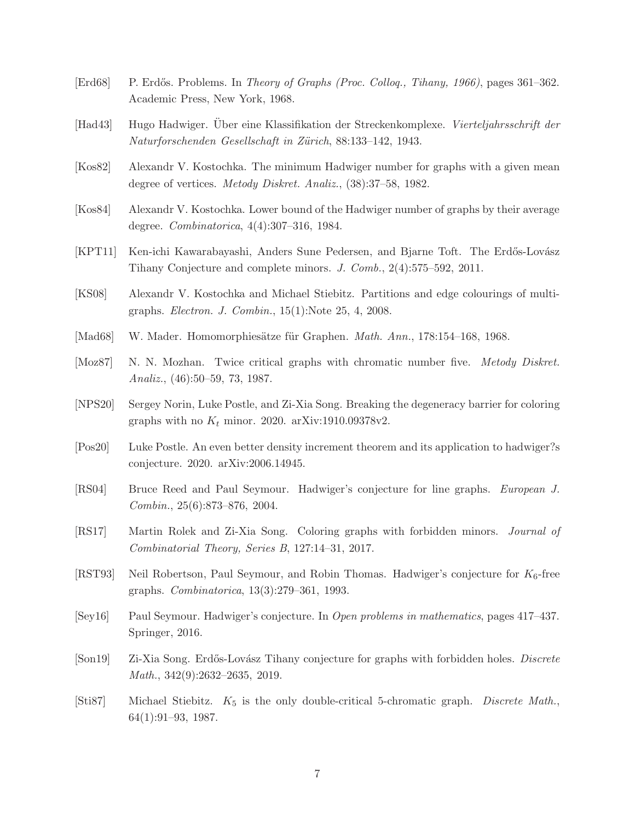- <span id="page-6-1"></span>[Erd68] P. Erdős. Problems. In Theory of Graphs (Proc. Colloq., Tihany, 1966), pages 361–362. Academic Press, New York, 1968.
- <span id="page-6-0"></span>[Had43] Hugo Hadwiger. Über eine Klassifikation der Streckenkomplexe. Vierteljahrsschrift der Naturforschenden Gesellschaft in Zürich, 88:133–142, 1943.
- <span id="page-6-5"></span>[Kos82] Alexandr V. Kostochka. The minimum Hadwiger number for graphs with a given mean degree of vertices. Metody Diskret. Analiz., (38):37–58, 1982.
- <span id="page-6-6"></span>[Kos84] Alexandr V. Kostochka. Lower bound of the Hadwiger number of graphs by their average degree. Combinatorica, 4(4):307–316, 1984.
- <span id="page-6-13"></span>[KPT11] Ken-ichi Kawarabayashi, Anders Sune Pedersen, and Bjarne Toft. The Erdős-Lovász Tihany Conjecture and complete minors. J. Comb., 2(4):575–592, 2011.
- <span id="page-6-11"></span>[KS08] Alexandr V. Kostochka and Michael Stiebitz. Partitions and edge colourings of multigraphs. Electron. J. Combin., 15(1):Note 25, 4, 2008.
- <span id="page-6-14"></span>[Mad68] W. Mader. Homomorphiesätze für Graphen. *Math. Ann.*, 178:154–168, 1968.
- <span id="page-6-8"></span>[Moz87] N. N. Mozhan. Twice critical graphs with chromatic number five. Metody Diskret. Analiz., (46):50–59, 73, 1987.
- <span id="page-6-4"></span>[NPS20] Sergey Norin, Luke Postle, and Zi-Xia Song. Breaking the degeneracy barrier for coloring graphs with no  $K_t$  minor. 2020. arXiv:1910.09378v2.
- <span id="page-6-3"></span>[Pos20] Luke Postle. An even better density increment theorem and its application to hadwiger?s conjecture. 2020. arXiv:2006.14945.
- <span id="page-6-10"></span>[RS04] Bruce Reed and Paul Seymour. Hadwiger's conjecture for line graphs. European J. Combin., 25(6):873–876, 2004.
- <span id="page-6-15"></span>[RS17] Martin Rolek and Zi-Xia Song. Coloring graphs with forbidden minors. Journal of Combinatorial Theory, Series B, 127:14–31, 2017.
- <span id="page-6-2"></span>[RST93] Neil Robertson, Paul Seymour, and Robin Thomas. Hadwiger's conjecture for  $K_6$ -free graphs. Combinatorica, 13(3):279–361, 1993.
- <span id="page-6-7"></span>[Sey16] Paul Seymour. Hadwiger's conjecture. In Open problems in mathematics, pages 417–437. Springer, 2016.
- <span id="page-6-12"></span>[Son19] Zi-Xia Song. Erdős-Lovász Tihany conjecture for graphs with forbidden holes. Discrete Math., 342(9):2632–2635, 2019.
- <span id="page-6-9"></span>[Sti87] Michael Stiebitz.  $K_5$  is the only double-critical 5-chromatic graph. Discrete Math., 64(1):91–93, 1987.